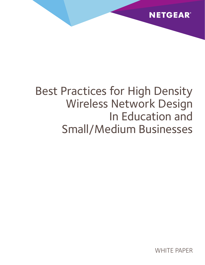

# Best Practices for High Density Wireless Network Design In Education and Small/Medium Businesses

WHITF PAPFR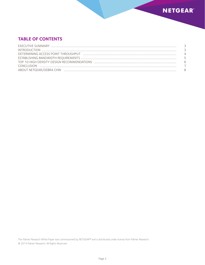

# **Table of Contents**

| CONCLUSION |  |
|------------|--|
|            |  |

This Palmer Research White Paper was commissioned by NETGEAR™ and is distributed under license from Palmer Research. @ 2014 Palmer Research. All Rights Reserved.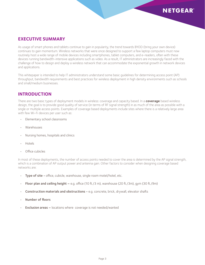

## **Executive Summary**

As usage of smart phones and tablets continue to gain in popularity, the trend towards BYOD (bring your own device) continues to gain momentum. Wireless networks that were once designed to support a few laptop computers must now routinely host a wide range of mobile devices including smartphones, tablet computers, and e-readers, often with these devices running bandwidth-intensive applications such as video. As a result, IT administrators are increasingly faced with the challenge of how to design and deploy a wireless network that can accommodate the exponential growth in network devices and applications.

This whitepaper is intended to help IT administrators understand some basic guidelines for determining access point (AP) throughput, bandwidth requirements and best practices for wireless deployment in high density environments such as schools and small/medium businesses.

## **Introduction**

There are two basic types of deployment models in wireless: coverage and capacity based. In a **coverage** based wireless design, the goal is to provide good quality of service (in terms of RF signal strength) in as much of the area as possible with a single or multiple access points. Examples of coverage based deployments include sites where there is a relatively large area with few Wi-Fi devices per user such as:

- Elementary school classrooms
- Warehouses
- • Nursing homes, hospitals and clinics
- • Hotels
- Office cubicles

In most of these deployments, the number of access points needed to cover the area is determined by the AP signal strength, which is a combination of AP output power and antenna gain. Other factors to consider when designing coverage based networks are:

- Type of site office, cubicle, warehouse, single room motel/hotel, etc.
- Floor plan and ceiling height e.g. office (10 ft./3 m), warehouse (20 ft./3m), gym (30 ft./9m)
- Construction materials and obstructions e.g. concrete, brick, drywall, elevator shafts
- Number of floors
- **Exclusion areas –** locations where coverage is not needed/wanted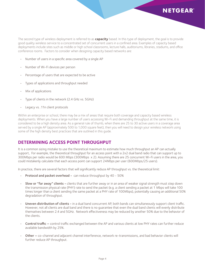

The second type of wireless deployment is referred to as **capacity** based. In this type of deployment, the goal is to provide good quality wireless service to a concentrated set of concurrent users in a confined area. Examples of capacity based deployments include sites such as middle or high school classrooms, lecture halls, auditoriums, libraries, stadiums, and office conference rooms. Factors to consider when designing capacity based networks are:

- Number of users in a specific area covered by a single AP
- Number of Wi-Fi devices per person
- Percentage of users that are expected to be active
- • Types of applications and throughput needed
- Mix of applications
- Type of clients in the network (2.4 GHz vs. 5GHz)
- Legacy vs. .11n client protocols

Within an enterprise or school, there may be a mix of areas that require both coverage and capacity based wireless deployments. When you have a large number of users accessing Wi-Fi and demanding throughput at the same time, it is considered to be a high density area. As a general rule of thumb, when there are 25 to 30 active users in a coverage area served by a single AP (approximately 500 to 1,000 square feet), then you will need to design your wireless network using some of the high density best practices that are outlined in this guide.

# **Determining Access Point Throughput**

It is a common sizing mistake to use the theoretical maximum to estimate how much throughput an AP can actually support, For example, the theoretical throughput for an access point with a 2x2 dual band radio that can support up to 300Mbps per radio would be 600 Mbps (300Mbps x 2). Assuming there are 25 concurrent Wi-Fi users in the area, you could mistakenly calculate that each access point can support 24Mbps per user (600Mbps/25 users).

In practice, there are several factors that will significantly reduce AP throughput vs. the theoretical limit:

- Protocol and packet overhead can reduce throughput by 40 50%
- Slow or "far away" clients clients that are further away or in an area of weaker signal strength must step down the transmission physical rate (PHY) rate to send the packet (e.g. a client sending a packet at 1 Mbps will take 100 times longer than a client sending the same packet at a PHY rate of 100Mbps), potentially causing an additional 50% degradation of throughput.
- • Uneven distribution of clients in a dual band concurrent AP, both bands can simultaneously support client traffic. However, not all clients are dual band and there is no guarantee that even the dual band clients will evenly distribute themselves between 2.4 and 5GHz. Network effectiveness may be reduced by another 50% due to the behavior of the clients.
- Control traffic control traffic exchanged between the AP and various clients at low PHY rates can further reduce available bandwidth by 25%.
- Other co-channel and adjacent channel interference, network re-transmissions, and bad behavior clients will further reduce AP throughput.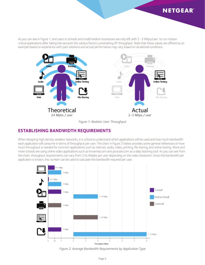

As you can see in Figure 1, end users in schools and small/medium businesses are only left with 2 -3 Mbps/user to run mission critical applications after taking into account the various factors constraining AP throughput. Note that these values are offered as an example based on experience with past solutions and actual performance may vary based on situational conditions.



*Figure 1: Realistic User Throughput*

#### **Establishing Bandwidth Requirements**

When designing high density wireless networks, it is critical to understand which applications will be used and how much bandwidth each application will consume in terms of throughput per user. The chart in Figure 2 below provides some general references on how much throughput is needed for common applications such as internet, audio, video, printing, file sharing, and online testing. More and more schools are using online video applications such as knowmia.com and youtube.com as a daily teaching tool. As you can see from the chart, throughput requirements can vary from 2 to 4Mpbs per user depending on the video resolution. Once the bandwidth per application is known, this number can be used to calculate the bandwidth required per user.



*Figure 2: Average Bandwidth Requirements by Application Type*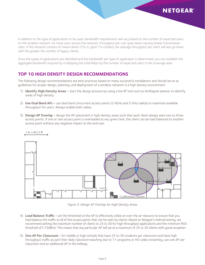

In addition to the type of applications to be used, bandwidth requirements will vary based on the number of expected users on the wireless network. As more users access the network, throughput per user goes down causing slower transmission rates. If the network consists of mixed clients (11a, b, gand 11n modes), the average throughput per client will also go down with the greater the number of legacy clients

Once the types of applications are identified and the bandwidth per type of application is determined, you can establish the aggregate bandwidth required by multiplying the total Mbps by the number of expected users in the coverage area.

#### **Top 10 High Density Design Recommendations**

The following design recommendations are best practices based on many successful installations and should serve as guidelines for proper design, planning, and deployment of a wireless network in a high density environment.

- 1) Identify High Density Areas start the design process by using a live RF tool such as AirMagnet planner to identify areas of high density.
- 2) Use Dual Band APs use dual band concurrent access points (2.4GHz and 5 GHz radios) to maximize available throughput for users. Always enable both radios.
- 3) Design AP Overlap design the AP placement in high density areas such that each client always sees two to three access points. If one or two access point is overloaded at any given time, the client can be load balanced to another access point without any negative impact to the end user.



*Figure 3: Design AP Overlap for High Density Areas*

- 4) Load Balance Traffic set the threshold on the AP to effectively utilize an over the air resource to ensure that you load balance the traffic to all of the access points that can be seen by clients. Based on Netgear's internal testing, we recommend setting the maximum number of clients to 25 to 30 for high throughput applications and the minimum RSSI threshold of (-73dBm). This means that any particular AP will serve a maximum of 25 to 30 clients with good reception.
- 5) One AP Per Classroom for middle or high schools that have 25 to 30 students per classroom and have high throughput traffic as part their daily classroom teaching due to 1:1 programs or HD video streaming, use one AP per classroom and an additional AP in the hallway.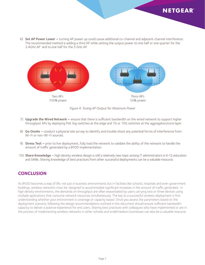

 6) Set AP Power Lower – turning AP power up could cause additional co-channel and adjacent-channel interference. The recommended method is adding a third AP while setting the output power to one half or one quarter for the 2.4GHz AP and to one half for the 5 GHz AP.



*Figure 4: Tuning AP Output for Maximum Power*

- 7) Upgrade the Wired Network ensure that there is sufficient bandwidth on the wired network to support higher throughput APs by deploying PoE Gig switches at the edge and 1G or 10G switches at the aggregation/core layer.
- 8) **Go Onsite –** conduct a physical site survey to identify and trouble shoot any potential forms of interference from Wi-Fi or non-Wi-Fi sources.
- 9) Stress Test prior to live deployment, fully load the network to validate the ability of the network to handle the amount of traffic generated by a BYOD implementation.
- 10) Share Knowledge high density wireless design is still a relatively new topic among IT administrators in K-12 education and SMBs. Sharing knowledge of best practices from other successful deployments can be a valuable resource.

## **Conclusion**

As BYOD becomes a way of life, not just in business environments but in facilities like schools, hospitals and even government buildings, wireless networks must be-designed to accommodate significant increases in the amount of traffic generated . In high density environments, the demands on throughput are often exacerbated by users carrying two or three devices using multiple applications that consume network resources simultaneously. The key to a successful wireless deployment is first understanding whether your environment is coverage or capacity based. Once you assess the parameters based on the deployment scenario, following the design recommendations outlined in this document should ensure sufficient bandwidth capacity to deliver a positive experience for end users. Sharing best practices with colleagues who have implemented or are in the process of implementing wireless networks in other schools and small/medium businesses can also be a valuable resource.